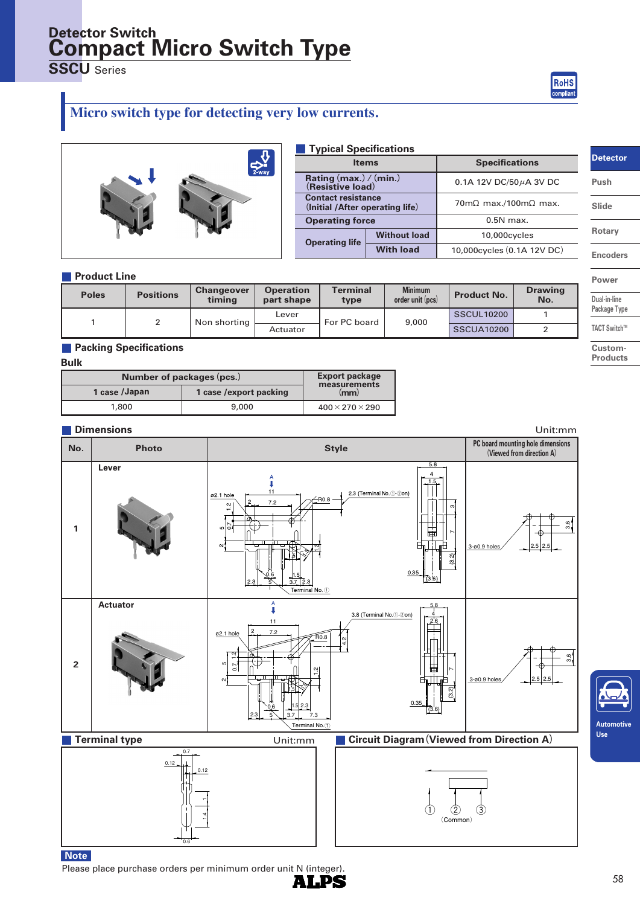# **Compact Micro Switch Type Detector Switch**

**SSCU** Series

RoHS compliar

# **Micro switch type for detecting very low currents.**



| <b>Typical Specifications</b>                                |                     |                                             |  |  |  |
|--------------------------------------------------------------|---------------------|---------------------------------------------|--|--|--|
| <b>Items</b>                                                 |                     | <b>Specifications</b>                       |  |  |  |
| Rating (max.) / (min.)<br>(Resistive load)                   |                     | 0.1A 12V DC/50 $\mu$ A 3V DC                |  |  |  |
| <b>Contact resistance</b><br>(Initial /After operating life) |                     | $70 \text{m}\Omega$ max./100m $\Omega$ max. |  |  |  |
| <b>Operating force</b>                                       |                     | $0.5N$ max.                                 |  |  |  |
| <b>Operating life</b>                                        | <b>Without load</b> | 10,000cycles                                |  |  |  |
|                                                              | <b>With load</b>    | 10,000 cycles (0.1A 12V DC)                 |  |  |  |

### **Product Line**

| <b>Poles</b> | <b>Positions</b> | <b>Changeover</b><br>timina | <b>Operation</b><br>part shape | Terminal<br>type | <b>Minimum</b><br>order unit (pcs) | <b>Product No.</b> | <b>Drawing</b><br>No. |
|--------------|------------------|-----------------------------|--------------------------------|------------------|------------------------------------|--------------------|-----------------------|
|              |                  | Non shorting                | Lever                          | For PC board     | 9,000                              | <b>SSCUL10200</b>  |                       |
|              |                  |                             | Actuator                       |                  |                                    | <b>SSCUA10200</b>  |                       |

### **Packing Specifications**

#### **Bulk**

| Number of packages (pcs.) | <b>Export package</b><br>measurements |                               |  |
|---------------------------|---------------------------------------|-------------------------------|--|
| 1 case /Japan             | 1 case / export packing               | $\langle \mathbf{mm} \rangle$ |  |
| 1,800                     | 9,000                                 | $400 \times 270 \times 290$   |  |

Please place purchase orders per minimum order unit N (integer).



**ALPS** 

## **Detector**

**Push**

**Slide**

**Rotary**

**Encoders**

**Power**

**Dual-in-line**

**Package Type TACT** Switch™

**Custom-**

**Products**

**Automotive Use**

58